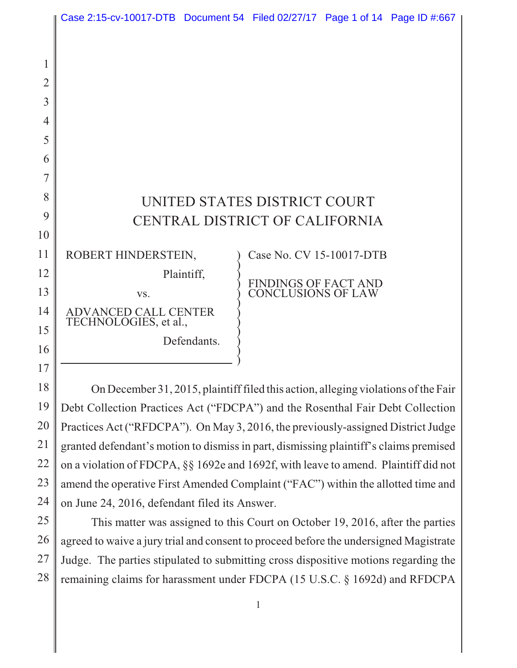|                | Case 2:15-cv-10017-DTB Document 54 Filed 02/27/17 Page 1 of 14 Page ID #:667       |             |                                            |  |  |
|----------------|------------------------------------------------------------------------------------|-------------|--------------------------------------------|--|--|
|                |                                                                                    |             |                                            |  |  |
|                |                                                                                    |             |                                            |  |  |
| $\mathbf 1$    |                                                                                    |             |                                            |  |  |
| $\overline{2}$ |                                                                                    |             |                                            |  |  |
| 3              |                                                                                    |             |                                            |  |  |
| $\overline{4}$ |                                                                                    |             |                                            |  |  |
| 5              |                                                                                    |             |                                            |  |  |
| 6              |                                                                                    |             |                                            |  |  |
| 7              |                                                                                    |             |                                            |  |  |
| 8              | UNITED STATES DISTRICT COURT                                                       |             |                                            |  |  |
| 9              | CENTRAL DISTRICT OF CALIFORNIA                                                     |             |                                            |  |  |
| 10             |                                                                                    |             |                                            |  |  |
| 11             | ROBERT HINDERSTEIN,                                                                |             | Case No. CV 15-10017-DTB                   |  |  |
| 12             |                                                                                    | Plaintiff,  |                                            |  |  |
| 13             | VS.                                                                                |             | FINDINGS OF FACT AND<br>CONCLUSIONS OF LAW |  |  |
| 14             | <b>ADVANCED CALL CENTER</b>                                                        |             |                                            |  |  |
| 15             | TECHNOLOGIES, et al.,                                                              |             |                                            |  |  |
| 16             |                                                                                    | Defendants. |                                            |  |  |
| 17             |                                                                                    |             |                                            |  |  |
| 18             | On December 31, 2015, plaintiff filed this action, alleging violations of the Fair |             |                                            |  |  |
| 19             | Debt Collection Practices Act ("FDCPA") and the Rosenthal Fair Debt Collection     |             |                                            |  |  |

20 21 22 23 24 Practices Act ("RFDCPA"). On May 3, 2016, the previously-assigned District Judge granted defendant's motion to dismiss in part, dismissing plaintiff's claims premised on a violation of FDCPA, §§ 1692e and 1692f, with leave to amend. Plaintiff did not amend the operative First Amended Complaint ("FAC") within the allotted time and on June 24, 2016, defendant filed its Answer.

25 26 27 28 This matter was assigned to this Court on October 19, 2016, after the parties agreed to waive a jury trial and consent to proceed before the undersigned Magistrate Judge. The parties stipulated to submitting cross dispositive motions regarding the remaining claims for harassment under FDCPA (15 U.S.C. § 1692d) and RFDCPA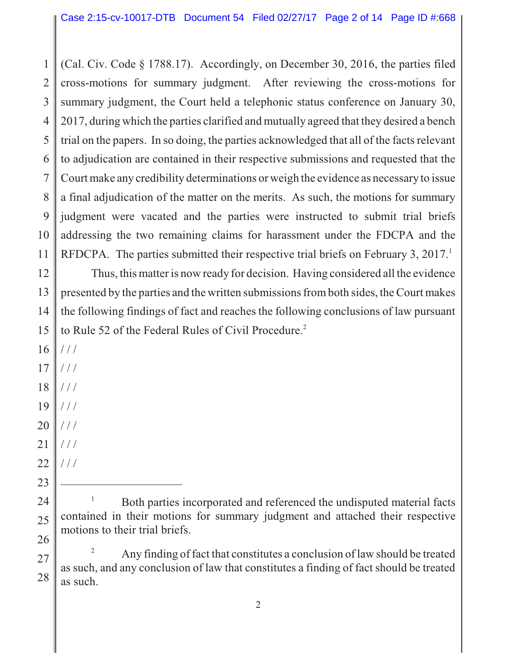1 2 3 4 5 6 7 8 9 10 11 (Cal. Civ. Code § 1788.17). Accordingly, on December 30, 2016, the parties filed cross-motions for summary judgment. After reviewing the cross-motions for summary judgment, the Court held a telephonic status conference on January 30, 2017, during which the parties clarified and mutually agreed that they desired a bench trial on the papers. In so doing, the parties acknowledged that all of the facts relevant to adjudication are contained in their respective submissions and requested that the Court make any credibility determinations or weigh the evidence as necessary to issue a final adjudication of the matter on the merits. As such, the motions for summary judgment were vacated and the parties were instructed to submit trial briefs addressing the two remaining claims for harassment under the FDCPA and the RFDCPA. The parties submitted their respective trial briefs on February 3, 2017.<sup>1</sup>

12 13 14 15 Thus, this matter is now ready for decision. Having considered all the evidence presented by the parties and the written submissions from both sides, the Court makes the following findings of fact and reaches the following conclusions of law pursuant to Rule 52 of the Federal Rules of Civil Procedure.<sup>2</sup>

- 16  $//$
- 17 / / /
- 18 / / /
- 19 / / /
- 20 / / /
- 21 / / /
- 22  $//$

23

24

25

26

27

28

<sup>2</sup> Any finding of fact that constitutes a conclusion of law should be treated as such, and any conclusion of law that constitutes a finding of fact should be treated as such.

<sup>1</sup> Both parties incorporated and referenced the undisputed material facts contained in their motions for summary judgment and attached their respective motions to their trial briefs.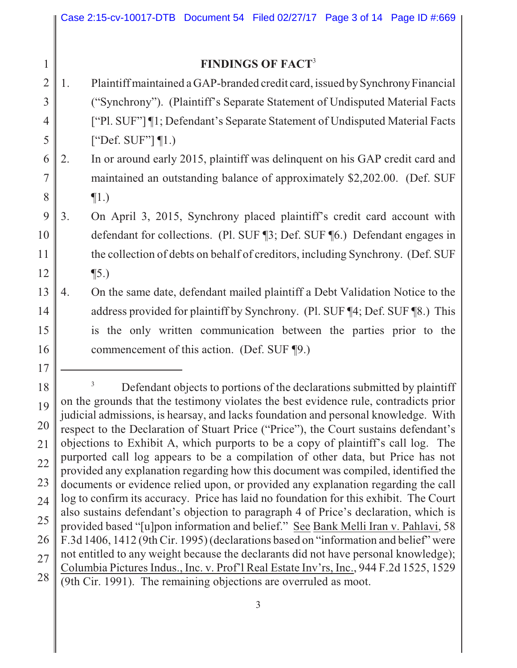## **FINDINGS OF FACT**<sup>3</sup>

1

17

2 3 4 5 1. Plaintiff maintained a GAP-branded credit card, issued by Synchrony Financial ("Synchrony"). (Plaintiff's Separate Statement of Undisputed Material Facts ["Pl. SUF"] ¶1; Defendant's Separate Statement of Undisputed Material Facts ["Def. SUF"] ¶1.)

6 7 8 2. In or around early 2015, plaintiff was delinquent on his GAP credit card and maintained an outstanding balance of approximately \$2,202.00. (Def. SUF  $\P1.$ 

- 9 10 11 12 3. On April 3, 2015, Synchrony placed plaintiff's credit card account with defendant for collections. (Pl. SUF ¶3; Def. SUF ¶6.) Defendant engages in the collection of debts on behalf of creditors, including Synchrony. (Def. SUF ¶5.)
- 13 14 15 16 4. On the same date, defendant mailed plaintiff a Debt Validation Notice to the address provided for plaintiff by Synchrony. (Pl. SUF ¶4; Def. SUF ¶8.) This is the only written communication between the parties prior to the commencement of this action. (Def. SUF ¶9.)

<sup>18</sup> 19 20 21 22 23 24 25 26 27 28 <sup>3</sup> Defendant objects to portions of the declarations submitted by plaintiff on the grounds that the testimony violates the best evidence rule, contradicts prior judicial admissions, is hearsay, and lacks foundation and personal knowledge. With respect to the Declaration of Stuart Price ("Price"), the Court sustains defendant's objections to Exhibit A, which purports to be a copy of plaintiff's call log. The purported call log appears to be a compilation of other data, but Price has not provided any explanation regarding how this document was compiled, identified the documents or evidence relied upon, or provided any explanation regarding the call log to confirm its accuracy. Price has laid no foundation for this exhibit. The Court also sustains defendant's objection to paragraph 4 of Price's declaration, which is provided based "[u]pon information and belief." See Bank Melli Iran v. Pahlavi, 58 F.3d 1406, 1412 (9th Cir. 1995) (declarations based on "information and belief" were not entitled to any weight because the declarants did not have personal knowledge); Columbia Pictures Indus., Inc. v. Prof'l Real Estate Inv'rs, Inc., 944 F.2d 1525, 1529 (9th Cir. 1991). The remaining objections are overruled as moot.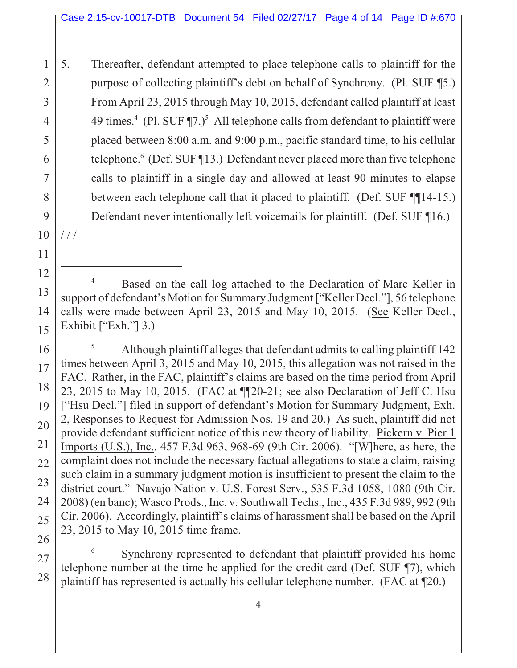2 3 4 5 6 7 8 9 5. Thereafter, defendant attempted to place telephone calls to plaintiff for the purpose of collecting plaintiff's debt on behalf of Synchrony. (Pl. SUF ¶5.) From April 23, 2015 through May 10, 2015, defendant called plaintiff at least 49 times.<sup>4</sup> (Pl. SUF  $\P$ 7.)<sup>5</sup> All telephone calls from defendant to plaintiff were placed between 8:00 a.m. and 9:00 p.m., pacific standard time, to his cellular telephone.<sup>6</sup> (Def. SUF ¶13.) Defendant never placed more than five telephone calls to plaintiff in a single day and allowed at least 90 minutes to elapse between each telephone call that it placed to plaintiff. (Def. SUF ¶¶14-15.) Defendant never intentionally left voicemails for plaintiff. (Def. SUF ¶16.)

10 / / /

11

1

16 17 18 19 20 21 22 23 24 25 26 <sup>5</sup> Although plaintiff alleges that defendant admits to calling plaintiff 142 times between April 3, 2015 and May 10, 2015, this allegation was not raised in the FAC. Rather, in the FAC, plaintiff's claims are based on the time period from April 23, 2015 to May 10, 2015. (FAC at ¶¶20-21; see also Declaration of Jeff C. Hsu ["Hsu Decl."] filed in support of defendant's Motion for Summary Judgment, Exh. 2, Responses to Request for Admission Nos. 19 and 20.) As such, plaintiff did not provide defendant sufficient notice of this new theory of liability. Pickern v. Pier 1 Imports (U.S.), Inc., 457 F.3d 963, 968-69 (9th Cir. 2006). "[W]here, as here, the complaint does not include the necessary factual allegations to state a claim, raising such claim in a summary judgment motion is insufficient to present the claim to the district court." Navajo Nation v. U.S. Forest Serv., 535 F.3d 1058, 1080 (9th Cir. 2008) (en banc); Wasco Prods., Inc. v. Southwall Techs., Inc., 435 F.3d 989, 992 (9th Cir. 2006). Accordingly, plaintiff's claims of harassment shall be based on the April 23, 2015 to May 10, 2015 time frame.

27 28 Synchrony represented to defendant that plaintiff provided his home telephone number at the time he applied for the credit card (Def. SUF ¶7), which plaintiff has represented is actually his cellular telephone number. (FAC at ¶20.)

<sup>12</sup> 13 14 15 Based on the call log attached to the Declaration of Marc Keller in support of defendant's Motion for Summary Judgment ["Keller Decl."], 56 telephone calls were made between April 23, 2015 and May 10, 2015. (See Keller Decl., Exhibit  $["Exh."]$  3.)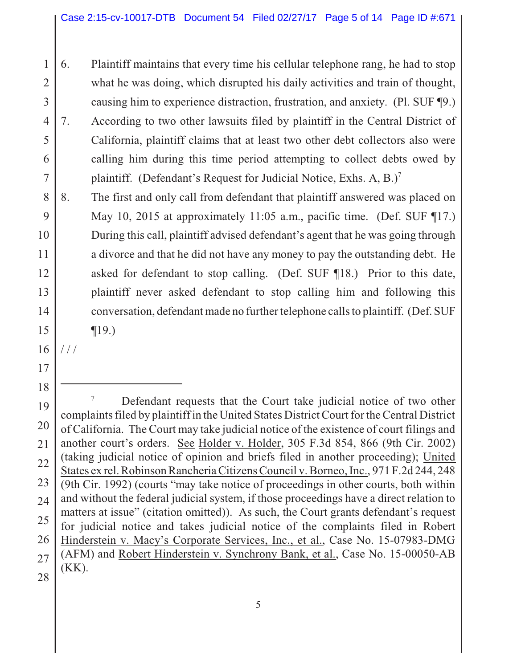1 2 3 4 5 6 7 6. Plaintiff maintains that every time his cellular telephone rang, he had to stop what he was doing, which disrupted his daily activities and train of thought, causing him to experience distraction, frustration, and anxiety. (Pl. SUF ¶9.) 7. According to two other lawsuits filed by plaintiff in the Central District of California, plaintiff claims that at least two other debt collectors also were calling him during this time period attempting to collect debts owed by plaintiff. (Defendant's Request for Judicial Notice, Exhs. A, B.)<sup>7</sup>

8 9 10 11 12 13 14 15 8. The first and only call from defendant that plaintiff answered was placed on May 10, 2015 at approximately 11:05 a.m., pacific time. (Def. SUF ¶17.) During this call, plaintiff advised defendant's agent that he was going through a divorce and that he did not have any money to pay the outstanding debt. He asked for defendant to stop calling. (Def. SUF ¶18.) Prior to this date, plaintiff never asked defendant to stop calling him and following this conversation, defendant made no further telephone calls to plaintiff. (Def. SUF ¶19.)

16 / / /

17

18

19 20 21

22

23

24

25

26

27

28

<sup>7</sup> Defendant requests that the Court take judicial notice of two other complaints filed by plaintiff in the United States District Court for the Central District of California. The Court may take judicial notice of the existence of court filings and another court's orders. See Holder v. Holder, 305 F.3d 854, 866 (9th Cir. 2002) (taking judicial notice of opinion and briefs filed in another proceeding); United States ex rel. Robinson Rancheria Citizens Council v. Borneo, Inc., 971 F.2d 244, 248 (9th Cir. 1992) (courts "may take notice of proceedings in other courts, both within and without the federal judicial system, if those proceedings have a direct relation to matters at issue" (citation omitted)). As such, the Court grants defendant's request for judicial notice and takes judicial notice of the complaints filed in Robert Hinderstein v. Macy's Corporate Services, Inc., et al., Case No. 15-07983-DMG (AFM) and Robert Hinderstein v. Synchrony Bank, et al., Case No. 15-00050-AB (KK).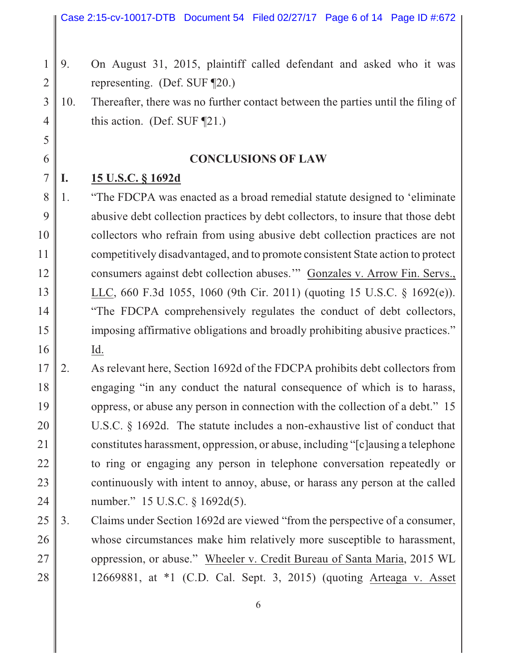- 1 2 9. On August 31, 2015, plaintiff called defendant and asked who it was representing. (Def. SUF ¶20.)
- 3 4 10. Thereafter, there was no further contact between the parties until the filing of this action. (Def. SUF ¶21.)

## **CONCLUSIONS OF LAW**

7 **I. 15 U.S.C. § 1692d**

5

6

8 9 10 11 12 13 14 15 16 1. "The FDCPA was enacted as a broad remedial statute designed to 'eliminate abusive debt collection practices by debt collectors, to insure that those debt collectors who refrain from using abusive debt collection practices are not competitively disadvantaged, and to promote consistent State action to protect consumers against debt collection abuses.'" Gonzales v. Arrow Fin. Servs., LLC, 660 F.3d 1055, 1060 (9th Cir. 2011) (quoting 15 U.S.C. § 1692(e)). "The FDCPA comprehensively regulates the conduct of debt collectors, imposing affirmative obligations and broadly prohibiting abusive practices." Id.

- 17 18 19 20 21 22 23 24 2. As relevant here, Section 1692d of the FDCPA prohibits debt collectors from engaging "in any conduct the natural consequence of which is to harass, oppress, or abuse any person in connection with the collection of a debt." 15 U.S.C. § 1692d. The statute includes a non-exhaustive list of conduct that constitutes harassment, oppression, or abuse, including "[c]ausing a telephone to ring or engaging any person in telephone conversation repeatedly or continuously with intent to annoy, abuse, or harass any person at the called number." 15 U.S.C. § 1692d(5).
- 25 26 27 28 3. Claims under Section 1692d are viewed "from the perspective of a consumer, whose circumstances make him relatively more susceptible to harassment, oppression, or abuse." Wheeler v. Credit Bureau of Santa Maria, 2015 WL 12669881, at \*1 (C.D. Cal. Sept. 3, 2015) (quoting Arteaga v. Asset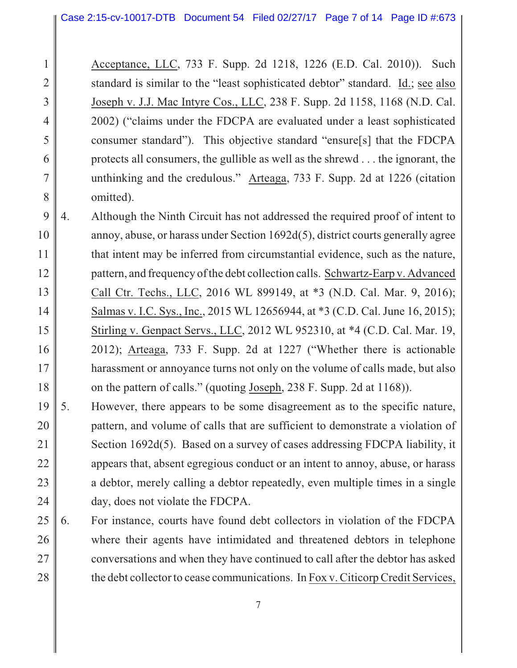2

3

4

5

6

7

8

Acceptance, LLC, 733 F. Supp. 2d 1218, 1226 (E.D. Cal. 2010)). Such standard is similar to the "least sophisticated debtor" standard. Id.; see also Joseph v. J.J. Mac Intyre Cos., LLC, 238 F. Supp. 2d 1158, 1168 (N.D. Cal. 2002) ("claims under the FDCPA are evaluated under a least sophisticated consumer standard"). This objective standard "ensure[s] that the FDCPA protects all consumers, the gullible as well as the shrewd . . . the ignorant, the unthinking and the credulous." Arteaga, 733 F. Supp. 2d at 1226 (citation omitted).

- 9 10 11 12 13 14 15 16 17 18 4. Although the Ninth Circuit has not addressed the required proof of intent to annoy, abuse, or harass under Section 1692d(5), district courts generally agree that intent may be inferred from circumstantial evidence, such as the nature, pattern, and frequency of the debt collection calls. Schwartz-Earp v. Advanced Call Ctr. Techs., LLC, 2016 WL 899149, at \*3 (N.D. Cal. Mar. 9, 2016); Salmas v. I.C. Sys., Inc., 2015 WL 12656944, at \*3 (C.D. Cal. June 16, 2015); Stirling v. Genpact Servs., LLC, 2012 WL 952310, at \*4 (C.D. Cal. Mar. 19, 2012); Arteaga, 733 F. Supp. 2d at 1227 ("Whether there is actionable harassment or annoyance turns not only on the volume of calls made, but also on the pattern of calls." (quoting Joseph, 238 F. Supp. 2d at 1168)).
- 19 20 21 22 23 24 5. However, there appears to be some disagreement as to the specific nature, pattern, and volume of calls that are sufficient to demonstrate a violation of Section 1692d(5). Based on a survey of cases addressing FDCPA liability, it appears that, absent egregious conduct or an intent to annoy, abuse, or harass a debtor, merely calling a debtor repeatedly, even multiple times in a single day, does not violate the FDCPA.
- 25 26 27 28 6. For instance, courts have found debt collectors in violation of the FDCPA where their agents have intimidated and threatened debtors in telephone conversations and when they have continued to call after the debtor has asked the debt collector to cease communications. In Fox v. Citicorp Credit Services,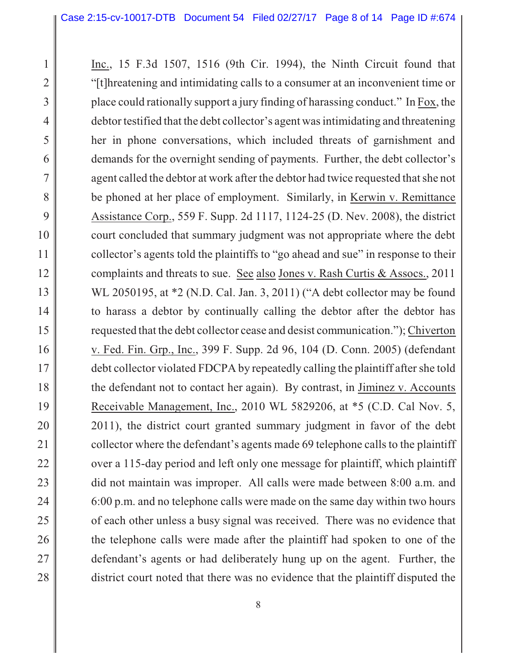2

3

4

5

6

7

8

9

10

11

12

13

14

15

16

17

18

19

20

21

22

23

24

25

26

27

28

Inc., 15 F.3d 1507, 1516 (9th Cir. 1994), the Ninth Circuit found that "[t]hreatening and intimidating calls to a consumer at an inconvenient time or place could rationally support a jury finding of harassing conduct." In Fox, the debtor testified that the debt collector's agent was intimidating and threatening her in phone conversations, which included threats of garnishment and demands for the overnight sending of payments. Further, the debt collector's agent called the debtor at work after the debtor had twice requested that she not be phoned at her place of employment. Similarly, in Kerwin v. Remittance Assistance Corp., 559 F. Supp. 2d 1117, 1124-25 (D. Nev. 2008), the district court concluded that summary judgment was not appropriate where the debt collector's agents told the plaintiffs to "go ahead and sue" in response to their complaints and threats to sue. See also Jones v. Rash Curtis & Assocs., 2011 WL 2050195, at \*2 (N.D. Cal. Jan. 3, 2011) ("A debt collector may be found to harass a debtor by continually calling the debtor after the debtor has requested that the debt collector cease and desist communication."); Chiverton v. Fed. Fin. Grp., Inc., 399 F. Supp. 2d 96, 104 (D. Conn. 2005) (defendant debt collector violated FDCPA by repeatedly calling the plaintiff after she told the defendant not to contact her again). By contrast, in Jiminez v. Accounts Receivable Management, Inc., 2010 WL 5829206, at \*5 (C.D. Cal Nov. 5, 2011), the district court granted summary judgment in favor of the debt collector where the defendant's agents made 69 telephone calls to the plaintiff over a 115-day period and left only one message for plaintiff, which plaintiff did not maintain was improper. All calls were made between 8:00 a.m. and 6:00 p.m. and no telephone calls were made on the same day within two hours of each other unless a busy signal was received. There was no evidence that the telephone calls were made after the plaintiff had spoken to one of the defendant's agents or had deliberately hung up on the agent. Further, the district court noted that there was no evidence that the plaintiff disputed the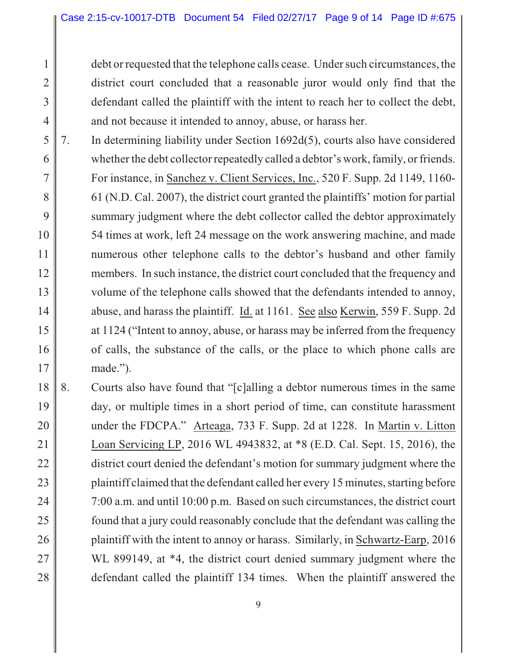2

3

4

debt or requested that the telephone calls cease. Under such circumstances, the district court concluded that a reasonable juror would only find that the defendant called the plaintiff with the intent to reach her to collect the debt, and not because it intended to annoy, abuse, or harass her.

- 5 6 7 8 9 10 11 12 13 14 15 16 17 7. In determining liability under Section 1692d(5), courts also have considered whether the debt collector repeatedly called a debtor's work, family, or friends. For instance, in Sanchez v. Client Services, Inc., 520 F. Supp. 2d 1149, 1160- 61 (N.D. Cal. 2007), the district court granted the plaintiffs' motion for partial summary judgment where the debt collector called the debtor approximately 54 times at work, left 24 message on the work answering machine, and made numerous other telephone calls to the debtor's husband and other family members. In such instance, the district court concluded that the frequency and volume of the telephone calls showed that the defendants intended to annoy, abuse, and harass the plaintiff. Id. at 1161. See also Kerwin, 559 F. Supp. 2d at 1124 ("Intent to annoy, abuse, or harass may be inferred from the frequency of calls, the substance of the calls, or the place to which phone calls are made.").
- 18 19 20 21 22 23 24 25 26 27 28 8. Courts also have found that "[c]alling a debtor numerous times in the same day, or multiple times in a short period of time, can constitute harassment under the FDCPA." Arteaga, 733 F. Supp. 2d at 1228. In Martin v. Litton Loan Servicing LP, 2016 WL 4943832, at \*8 (E.D. Cal. Sept. 15, 2016), the district court denied the defendant's motion for summary judgment where the plaintiff claimed that the defendant called her every 15 minutes, starting before 7:00 a.m. and until 10:00 p.m. Based on such circumstances, the district court found that a jury could reasonably conclude that the defendant was calling the plaintiff with the intent to annoy or harass. Similarly, in Schwartz-Earp, 2016 WL 899149, at  $*4$ , the district court denied summary judgment where the defendant called the plaintiff 134 times. When the plaintiff answered the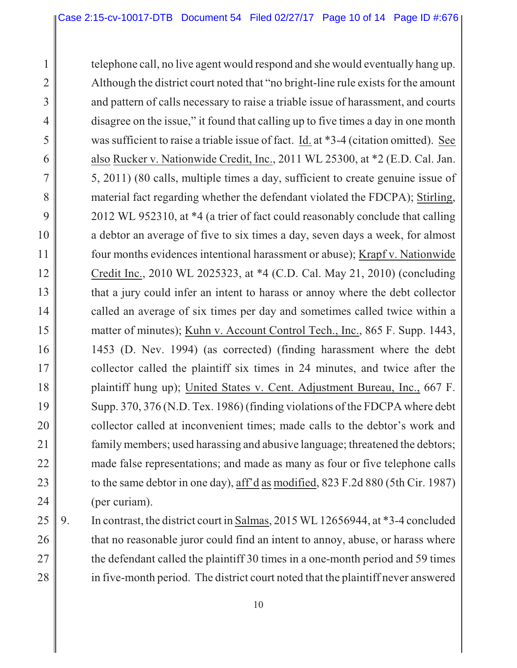1 2 3 4 5 6 7 8 9 10 11 12 13 14 15 16 17 18 19 20 21 22 23 24 telephone call, no live agent would respond and she would eventually hang up. Although the district court noted that "no bright-line rule exists for the amount and pattern of calls necessary to raise a triable issue of harassment, and courts disagree on the issue," it found that calling up to five times a day in one month was sufficient to raise a triable issue of fact. Id. at \*3-4 (citation omitted). See also Rucker v. Nationwide Credit, Inc., 2011 WL 25300, at \*2 (E.D. Cal. Jan. 5, 2011) (80 calls, multiple times a day, sufficient to create genuine issue of material fact regarding whether the defendant violated the FDCPA); Stirling, 2012 WL 952310, at \*4 (a trier of fact could reasonably conclude that calling a debtor an average of five to six times a day, seven days a week, for almost four months evidences intentional harassment or abuse); Krapf v. Nationwide Credit Inc., 2010 WL 2025323, at \*4 (C.D. Cal. May 21, 2010) (concluding that a jury could infer an intent to harass or annoy where the debt collector called an average of six times per day and sometimes called twice within a matter of minutes); Kuhn v. Account Control Tech., Inc., 865 F. Supp. 1443, 1453 (D. Nev. 1994) (as corrected) (finding harassment where the debt collector called the plaintiff six times in 24 minutes, and twice after the plaintiff hung up); United States v. Cent. Adjustment Bureau, Inc., 667 F. Supp. 370, 376 (N.D. Tex. 1986) (finding violations of the FDCPA where debt collector called at inconvenient times; made calls to the debtor's work and family members; used harassing and abusive language; threatened the debtors; made false representations; and made as many as four or five telephone calls to the same debtor in one day), aff'd as modified, 823 F.2d 880 (5th Cir. 1987) (per curiam).

25 26 27 28 9. In contrast, the district court in Salmas, 2015 WL 12656944, at \*3-4 concluded that no reasonable juror could find an intent to annoy, abuse, or harass where the defendant called the plaintiff 30 times in a one-month period and 59 times in five-month period. The district court noted that the plaintiff never answered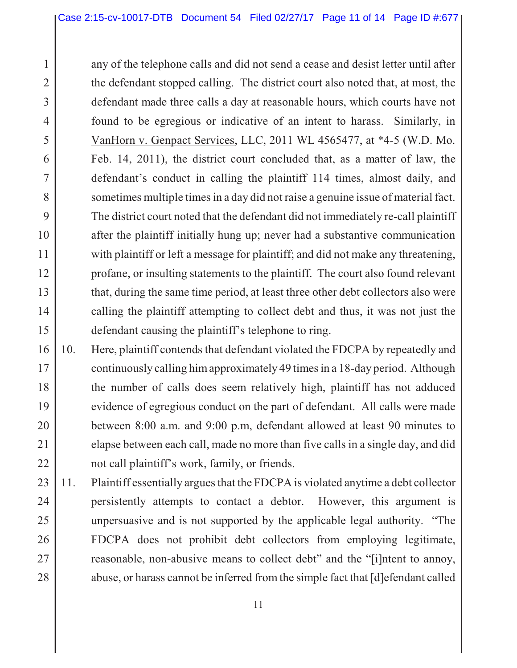2

3

4

5

6

7

8

9

10

11

12

13

15

14 any of the telephone calls and did not send a cease and desist letter until after the defendant stopped calling. The district court also noted that, at most, the defendant made three calls a day at reasonable hours, which courts have not found to be egregious or indicative of an intent to harass. Similarly, in VanHorn v. Genpact Services, LLC, 2011 WL 4565477, at \*4-5 (W.D. Mo. Feb. 14, 2011), the district court concluded that, as a matter of law, the defendant's conduct in calling the plaintiff 114 times, almost daily, and sometimes multiple times in a day did not raise a genuine issue of material fact. The district court noted that the defendant did not immediately re-call plaintiff after the plaintiff initially hung up; never had a substantive communication with plaintiff or left a message for plaintiff; and did not make any threatening, profane, or insulting statements to the plaintiff. The court also found relevant that, during the same time period, at least three other debt collectors also were calling the plaintiff attempting to collect debt and thus, it was not just the defendant causing the plaintiff's telephone to ring.

- 16 17 18 19 20 21 22 10. Here, plaintiff contends that defendant violated the FDCPA by repeatedly and continuously calling him approximately 49 times in a 18-day period. Although the number of calls does seem relatively high, plaintiff has not adduced evidence of egregious conduct on the part of defendant. All calls were made between 8:00 a.m. and 9:00 p.m, defendant allowed at least 90 minutes to elapse between each call, made no more than five calls in a single day, and did not call plaintiff's work, family, or friends.
- 23 24 25 26 27 28 11. Plaintiff essentially argues that the FDCPA is violated anytime a debt collector persistently attempts to contact a debtor. However, this argument is unpersuasive and is not supported by the applicable legal authority. "The FDCPA does not prohibit debt collectors from employing legitimate, reasonable, non-abusive means to collect debt" and the "[i]ntent to annoy, abuse, or harass cannot be inferred from the simple fact that [d]efendant called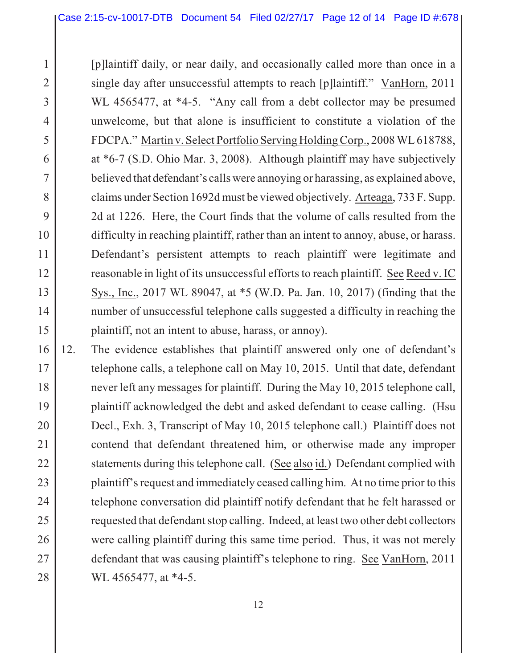2

3

4

5

6

7

8

9

10

11

12

13

14

15

[p]laintiff daily, or near daily, and occasionally called more than once in a single day after unsuccessful attempts to reach [p]laintiff." VanHorn, 2011 WL 4565477, at \*4-5. "Any call from a debt collector may be presumed unwelcome, but that alone is insufficient to constitute a violation of the FDCPA." Martin v. Select Portfolio Serving Holding Corp., 2008 WL 618788, at \*6-7 (S.D. Ohio Mar. 3, 2008). Although plaintiff may have subjectively believed that defendant's calls were annoying or harassing, as explained above, claims under Section 1692d must be viewed objectively. Arteaga, 733 F. Supp. 2d at 1226. Here, the Court finds that the volume of calls resulted from the difficulty in reaching plaintiff, rather than an intent to annoy, abuse, or harass. Defendant's persistent attempts to reach plaintiff were legitimate and reasonable in light of its unsuccessful efforts to reach plaintiff. See Reed v. IC Sys., Inc., 2017 WL 89047, at \*5 (W.D. Pa. Jan. 10, 2017) (finding that the number of unsuccessful telephone calls suggested a difficulty in reaching the plaintiff, not an intent to abuse, harass, or annoy).

16 17 18 19 20 21 22 23 24 25 26 27 28 12. The evidence establishes that plaintiff answered only one of defendant's telephone calls, a telephone call on May 10, 2015. Until that date, defendant never left any messages for plaintiff. During the May 10, 2015 telephone call, plaintiff acknowledged the debt and asked defendant to cease calling. (Hsu Decl., Exh. 3, Transcript of May 10, 2015 telephone call.) Plaintiff does not contend that defendant threatened him, or otherwise made any improper statements during this telephone call. (See also id.) Defendant complied with plaintiff's request and immediately ceased calling him. At no time prior to this telephone conversation did plaintiff notify defendant that he felt harassed or requested that defendant stop calling. Indeed, at least two other debt collectors were calling plaintiff during this same time period. Thus, it was not merely defendant that was causing plaintiff's telephone to ring. See VanHorn, 2011 WL 4565477, at \*4-5.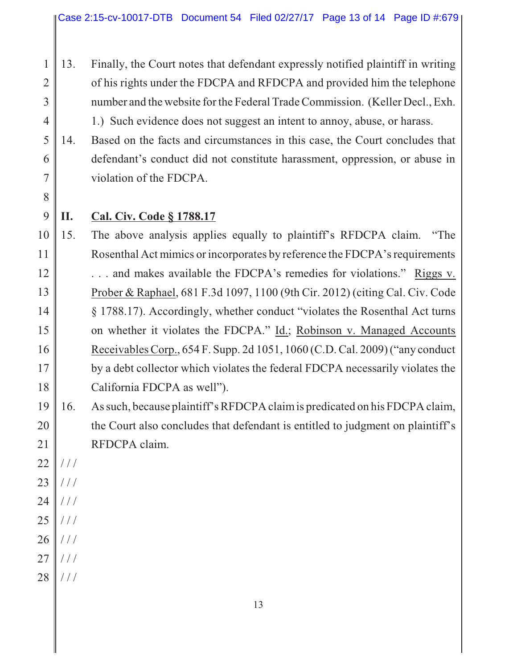- 1 2 3 4 13. Finally, the Court notes that defendant expressly notified plaintiff in writing of his rights under the FDCPA and RFDCPA and provided him the telephone number and the website for the Federal Trade Commission. (Keller Decl., Exh. 1.) Such evidence does not suggest an intent to annoy, abuse, or harass.
- 5 6 7 14. Based on the facts and circumstances in this case, the Court concludes that defendant's conduct did not constitute harassment, oppression, or abuse in violation of the FDCPA.
- 8

## **II. Cal. Civ. Code § 1788.17**

- 10 11 12 13 14 15 16 17 18 15. The above analysis applies equally to plaintiff's RFDCPA claim. "The Rosenthal Act mimics or incorporates by reference the FDCPA's requirements . . . and makes available the FDCPA's remedies for violations." Riggs v. Prober & Raphael, 681 F.3d 1097, 1100 (9th Cir. 2012) (citing Cal. Civ. Code § 1788.17). Accordingly, whether conduct "violates the Rosenthal Act turns on whether it violates the FDCPA." Id.; Robinson v. Managed Accounts Receivables Corp., 654 F. Supp. 2d 1051, 1060 (C.D. Cal. 2009) ("any conduct by a debt collector which violates the federal FDCPA necessarily violates the California FDCPA as well").
- 19 20 21 16. As such, because plaintiff's RFDCPA claim is predicated on his FDCPA claim, the Court also concludes that defendant is entitled to judgment on plaintiff's RFDCPA claim.
- 22 / / /
- 23 / / /
- 24 / / /
- 25 / / /
- 26  $/$  /  $/$
- 27 / / /
- 28  $/ /$